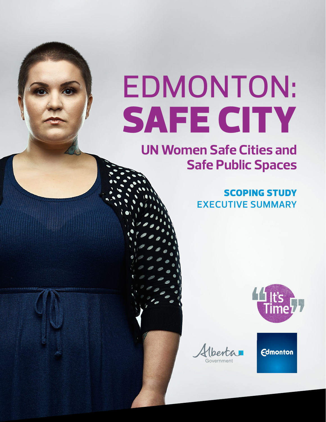# EDMONTON: SAFE CITY

## **UN Women Safe Cities and Safe Public Spaces**

### SCOPING STUDY **EXECUTIVE SUMMARY**



**Edmonton** 

Hberta I Government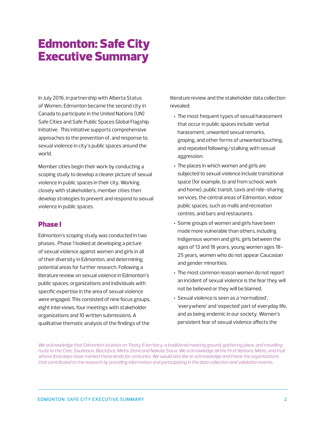## Edmonton: Safe City Executive Summary

In July 2016, in partnership with Alberta Status of Women, Edmonton became the second city in Canada to participate in the United Nations (UN) Safe Cities and Safe Public Spaces Global Flagship Initiative. This initiative supports comprehensive approaches to the prevention of, and response to, sexual violence in city's public spaces around the world.

Member cities begin their work by conducting a scoping study to develop a clearer picture of sexual violence in public spaces in their city. Working closely with stakeholders, member cities then develop strategies to prevent and respond to sexual violence in public spaces.

#### Phase I

Edmonton's scoping study was conducted in two phases. Phase 1 looked at developing a picture of sexual violence against women and girls in all of their diversity in Edmonton, and determining potential areas for further research. Following a literature review on sexual violence in Edmonton's public spaces, organizations and individuals with specific expertise in the area of sexual violence were engaged. This consisted of nine focus groups, eight interviews, four meetings with stakeholder organizations and 10 written submissions. A qualitative thematic analysis of the findings of the

literature review and the stakeholder data collection revealed:

- The most frequent types of sexual harassment that occur in public spaces include: verbal harassment, unwanted sexual remarks, groping, and other forms of unwanted touching, and repeated following/stalking with sexual aggression.
- The places in which women and girls are subjected to sexual violence include transitional space (for example, to and from school, work and home), public transit, taxis and ride-sharing services, the central areas of Edmonton, indoor public spaces, such as malls and recreation centres, and bars and restaurants.
- Some groups of women and girls have been made more vulnerable than others, including Indigenous women and girls, girls between the ages of 13 and 18 years, young women ages 18- 25 years, women who do not appear Caucasian and gender minorities.
- The most common reason women do not report an incident of sexual violence is the fear they will not be believed or they will be blamed.
- Sexual violence is seen as a 'normalized', 'everywhere' and 'expected' part of everyday life, and as being endemic in our society. Women's persistent fear of sexual violence affects the

We acknowledge that Edmonton location on Treaty 6 territory, a traditional meeting ground, gathering place, and travelling *route to the Cree, Saulteaux, Blackfoot, Métis, Dene and Nakota Sioux. We acknowledge all the First Nations, Métis, and Inuit whose footsteps have marked these lands for centuries. We would also like to acknowledge and thank the organizations that contributed to the research by providing information and participating in the data collection and validation events.*